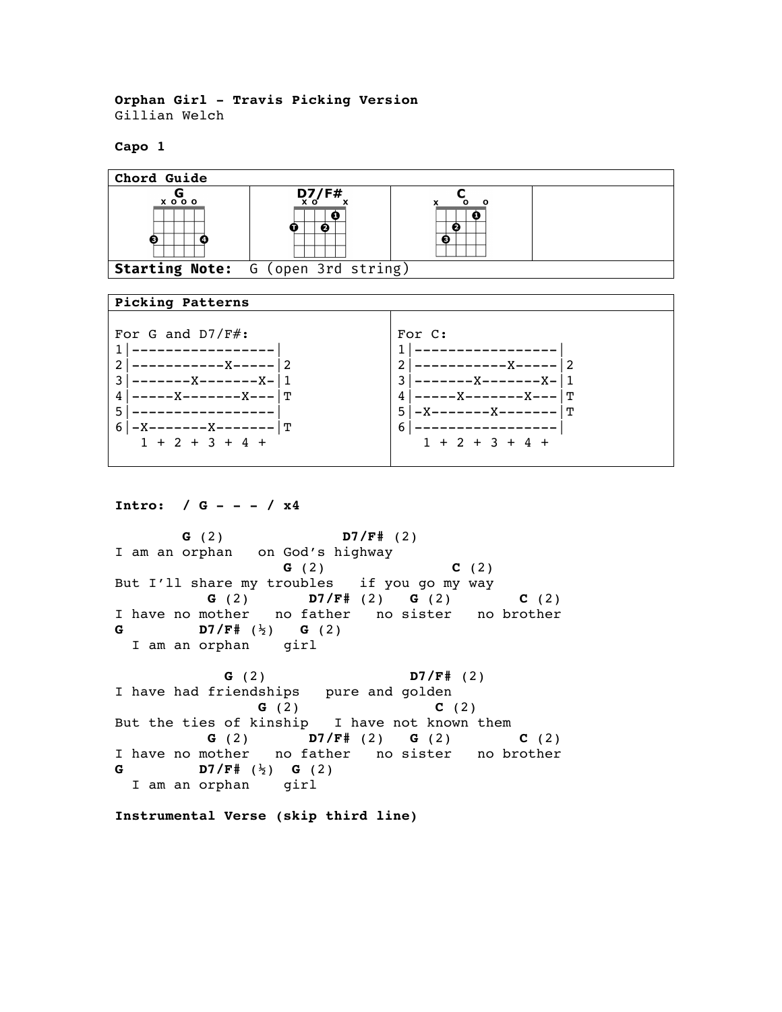**Orphan Girl - Travis Picking Version** Gillian Welch

**Capo 1**



## **Picking Patterns**

| For G and $D7/F#$ :                                                               | For C:                                                                |
|-----------------------------------------------------------------------------------|-----------------------------------------------------------------------|
| -------X-------X-<br>X-------X---   T<br>-------X-------   T<br>$1 + 2 + 3 + 4 +$ | $-X$ -------X-11<br>  ጥ<br>$4 - - -$<br>5 I<br>6<br>$1 + 2 + 3 + 4 +$ |
|                                                                                   |                                                                       |

**Intro: / G - - - / x4**

 **G** (2) **D7/F#** (2) I am an orphan on God's highway  **G** (2) **C** (2) But I'll share my troubles if you go my way<br> **G** (2) **D7/F#** (2) **G** (2)  **G** (2) **D7/F#** (2) **G** (2) **C** (2) I have no mother no father no sister no brother **G D7/F#** (½) **G** (2) I am an orphan girl  **G** (2) **D7/F#** (2) I have had friendships pure and golden  **G** (2) **C** (2) But the ties of kinship I have not known them

 **G** (2) **D7/F#** (2) **G** (2) **C** (2) I have no mother no father no sister no brother **G D7/F#** (½) **G** (2) I am an orphan girl

**Instrumental Verse (skip third line)**